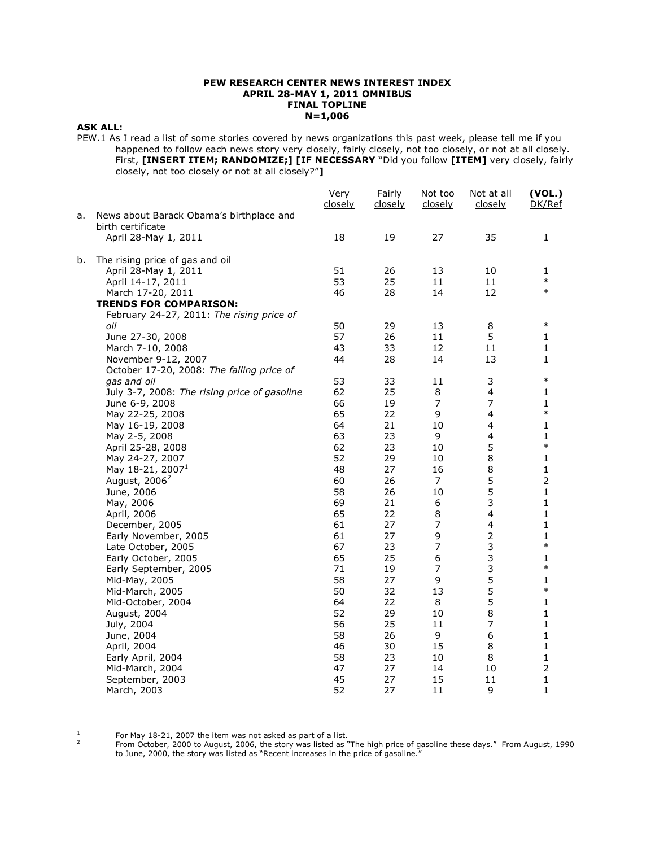### **PEW RESEARCH CENTER NEWS INTEREST INDEX APRIL 28-MAY 1, 2011 OMNIBUS FINAL TOPLINE N=1,006**

### **ASK ALL:**

PEW.1 As I read a list of some stories covered by news organizations this past week, please tell me if you happened to follow each news story very closely, fairly closely, not too closely, or not at all closely. First, **[INSERT ITEM; RANDOMIZE;] [IF NECESSARY** "Did you follow **[ITEM]** very closely, fairly closely, not too closely or not at all closely?"**]**

| News about Barack Obama's birthplace and<br>a.<br>birth certificate<br>35<br>18<br>19<br>27<br>April 28-May 1, 2011<br>1<br>b.<br>The rising price of gas and oil<br>51<br>26<br>13<br>10<br>April 28-May 1, 2011<br>1<br>$\ast$<br>53<br>25<br>11<br>April 14-17, 2011<br>11<br>$\ast$<br>46<br>28<br>14<br>12<br>March 17-20, 2011<br><b>TRENDS FOR COMPARISON:</b><br>February 24-27, 2011: The rising price of<br>$\ast$<br>50<br>29<br>oil<br>13<br>8<br>5<br>57<br>26<br>11<br>1<br>June 27-30, 2008<br>43<br>33<br>12<br>11<br>1<br>March 7-10, 2008<br>November 9-12, 2007<br>44<br>28<br>14<br>13<br>1<br>October 17-20, 2008: The falling price of<br>$\ast$<br>53<br>33<br>11<br>3<br>gas and oil<br>62<br>25<br>8<br>$\overline{\mathbf{4}}$<br>1<br>July 3-7, 2008: The rising price of gasoline<br>$\overline{7}$<br>$\overline{7}$<br>66<br>19<br>June 6-9, 2008<br>1<br>$\ast$<br>65<br>4<br>22<br>9<br>May 22-25, 2008<br>64<br>21<br>10<br>4<br>1<br>May 16-19, 2008<br>63<br>9<br>$\overline{\mathbf{4}}$<br>1<br>May 2-5, 2008<br>23<br>5<br>$\ast$<br>62<br>23<br>10<br>April 25-28, 2008<br>8<br>52<br>29<br>1<br>May 24-27, 2007<br>10<br>May 18-21, 2007 <sup>1</sup><br>$\,8\,$<br>1<br>48<br>27<br>16<br>5<br>$\overline{2}$<br>August, 2006 <sup>2</sup><br>60<br>26<br>$\overline{7}$<br>5<br>58<br>26<br>10<br>1<br>June, 2006<br>3<br>1<br>69<br>21<br>6<br>May, 2006<br>$\overline{\mathbf{4}}$<br>65<br>22<br>8<br>1<br>April, 2006<br>27<br>$\overline{7}$<br>$\overline{\mathbf{4}}$<br>1<br>61<br>December, 2005<br>$\overline{2}$<br>9<br>61<br>27<br>1<br>Early November, 2005<br>3<br>$\ast$<br>$\overline{7}$<br>67<br>23<br>Late October, 2005<br>3<br>6<br>65<br>25<br>1<br>Early October, 2005<br>3<br>$\overline{7}$<br>$\ast$<br>71<br>19<br>Early September, 2005<br>5<br>9<br>58<br>27<br>1<br>Mid-May, 2005<br>5<br>$\ast$<br>50<br>32<br>13<br>Mid-March, 2005<br>5<br>22<br>8<br>1<br>Mid-October, 2004<br>64<br>$\,8\,$<br>52<br>29<br>1<br>10<br>August, 2004<br>$\overline{7}$<br>56<br>25<br>11<br>1<br>July, 2004<br>58<br>26<br>9<br>6<br>1<br>June, 2004<br>30<br>15<br>8<br>1<br>April, 2004<br>46<br>8<br>1<br>58<br>23<br>10<br>Early April, 2004<br>$\overline{2}$<br>47<br>27<br>14<br>10<br>Mid-March, 2004<br>45<br>27<br>15<br>11<br>1<br>September, 2003 |  |             | Very<br>closely | Fairly<br><u>closely</u> | Not too<br>closely | Not at all<br>closely | (VOL.)<br>DK/Ref |
|---------------------------------------------------------------------------------------------------------------------------------------------------------------------------------------------------------------------------------------------------------------------------------------------------------------------------------------------------------------------------------------------------------------------------------------------------------------------------------------------------------------------------------------------------------------------------------------------------------------------------------------------------------------------------------------------------------------------------------------------------------------------------------------------------------------------------------------------------------------------------------------------------------------------------------------------------------------------------------------------------------------------------------------------------------------------------------------------------------------------------------------------------------------------------------------------------------------------------------------------------------------------------------------------------------------------------------------------------------------------------------------------------------------------------------------------------------------------------------------------------------------------------------------------------------------------------------------------------------------------------------------------------------------------------------------------------------------------------------------------------------------------------------------------------------------------------------------------------------------------------------------------------------------------------------------------------------------------------------------------------------------------------------------------------------------------------------------------------------------------------------------------------------------------------------------------------------------------------------------------------------------------------------------------------------------------------|--|-------------|-----------------|--------------------------|--------------------|-----------------------|------------------|
|                                                                                                                                                                                                                                                                                                                                                                                                                                                                                                                                                                                                                                                                                                                                                                                                                                                                                                                                                                                                                                                                                                                                                                                                                                                                                                                                                                                                                                                                                                                                                                                                                                                                                                                                                                                                                                                                                                                                                                                                                                                                                                                                                                                                                                                                                                                           |  |             |                 |                          |                    |                       |                  |
|                                                                                                                                                                                                                                                                                                                                                                                                                                                                                                                                                                                                                                                                                                                                                                                                                                                                                                                                                                                                                                                                                                                                                                                                                                                                                                                                                                                                                                                                                                                                                                                                                                                                                                                                                                                                                                                                                                                                                                                                                                                                                                                                                                                                                                                                                                                           |  |             |                 |                          |                    |                       |                  |
|                                                                                                                                                                                                                                                                                                                                                                                                                                                                                                                                                                                                                                                                                                                                                                                                                                                                                                                                                                                                                                                                                                                                                                                                                                                                                                                                                                                                                                                                                                                                                                                                                                                                                                                                                                                                                                                                                                                                                                                                                                                                                                                                                                                                                                                                                                                           |  |             |                 |                          |                    |                       |                  |
|                                                                                                                                                                                                                                                                                                                                                                                                                                                                                                                                                                                                                                                                                                                                                                                                                                                                                                                                                                                                                                                                                                                                                                                                                                                                                                                                                                                                                                                                                                                                                                                                                                                                                                                                                                                                                                                                                                                                                                                                                                                                                                                                                                                                                                                                                                                           |  |             |                 |                          |                    |                       |                  |
|                                                                                                                                                                                                                                                                                                                                                                                                                                                                                                                                                                                                                                                                                                                                                                                                                                                                                                                                                                                                                                                                                                                                                                                                                                                                                                                                                                                                                                                                                                                                                                                                                                                                                                                                                                                                                                                                                                                                                                                                                                                                                                                                                                                                                                                                                                                           |  |             |                 |                          |                    |                       |                  |
|                                                                                                                                                                                                                                                                                                                                                                                                                                                                                                                                                                                                                                                                                                                                                                                                                                                                                                                                                                                                                                                                                                                                                                                                                                                                                                                                                                                                                                                                                                                                                                                                                                                                                                                                                                                                                                                                                                                                                                                                                                                                                                                                                                                                                                                                                                                           |  |             |                 |                          |                    |                       |                  |
|                                                                                                                                                                                                                                                                                                                                                                                                                                                                                                                                                                                                                                                                                                                                                                                                                                                                                                                                                                                                                                                                                                                                                                                                                                                                                                                                                                                                                                                                                                                                                                                                                                                                                                                                                                                                                                                                                                                                                                                                                                                                                                                                                                                                                                                                                                                           |  |             |                 |                          |                    |                       |                  |
|                                                                                                                                                                                                                                                                                                                                                                                                                                                                                                                                                                                                                                                                                                                                                                                                                                                                                                                                                                                                                                                                                                                                                                                                                                                                                                                                                                                                                                                                                                                                                                                                                                                                                                                                                                                                                                                                                                                                                                                                                                                                                                                                                                                                                                                                                                                           |  |             |                 |                          |                    |                       |                  |
|                                                                                                                                                                                                                                                                                                                                                                                                                                                                                                                                                                                                                                                                                                                                                                                                                                                                                                                                                                                                                                                                                                                                                                                                                                                                                                                                                                                                                                                                                                                                                                                                                                                                                                                                                                                                                                                                                                                                                                                                                                                                                                                                                                                                                                                                                                                           |  |             |                 |                          |                    |                       |                  |
|                                                                                                                                                                                                                                                                                                                                                                                                                                                                                                                                                                                                                                                                                                                                                                                                                                                                                                                                                                                                                                                                                                                                                                                                                                                                                                                                                                                                                                                                                                                                                                                                                                                                                                                                                                                                                                                                                                                                                                                                                                                                                                                                                                                                                                                                                                                           |  |             |                 |                          |                    |                       |                  |
|                                                                                                                                                                                                                                                                                                                                                                                                                                                                                                                                                                                                                                                                                                                                                                                                                                                                                                                                                                                                                                                                                                                                                                                                                                                                                                                                                                                                                                                                                                                                                                                                                                                                                                                                                                                                                                                                                                                                                                                                                                                                                                                                                                                                                                                                                                                           |  |             |                 |                          |                    |                       |                  |
|                                                                                                                                                                                                                                                                                                                                                                                                                                                                                                                                                                                                                                                                                                                                                                                                                                                                                                                                                                                                                                                                                                                                                                                                                                                                                                                                                                                                                                                                                                                                                                                                                                                                                                                                                                                                                                                                                                                                                                                                                                                                                                                                                                                                                                                                                                                           |  |             |                 |                          |                    |                       |                  |
|                                                                                                                                                                                                                                                                                                                                                                                                                                                                                                                                                                                                                                                                                                                                                                                                                                                                                                                                                                                                                                                                                                                                                                                                                                                                                                                                                                                                                                                                                                                                                                                                                                                                                                                                                                                                                                                                                                                                                                                                                                                                                                                                                                                                                                                                                                                           |  |             |                 |                          |                    |                       |                  |
|                                                                                                                                                                                                                                                                                                                                                                                                                                                                                                                                                                                                                                                                                                                                                                                                                                                                                                                                                                                                                                                                                                                                                                                                                                                                                                                                                                                                                                                                                                                                                                                                                                                                                                                                                                                                                                                                                                                                                                                                                                                                                                                                                                                                                                                                                                                           |  |             |                 |                          |                    |                       |                  |
|                                                                                                                                                                                                                                                                                                                                                                                                                                                                                                                                                                                                                                                                                                                                                                                                                                                                                                                                                                                                                                                                                                                                                                                                                                                                                                                                                                                                                                                                                                                                                                                                                                                                                                                                                                                                                                                                                                                                                                                                                                                                                                                                                                                                                                                                                                                           |  |             |                 |                          |                    |                       |                  |
|                                                                                                                                                                                                                                                                                                                                                                                                                                                                                                                                                                                                                                                                                                                                                                                                                                                                                                                                                                                                                                                                                                                                                                                                                                                                                                                                                                                                                                                                                                                                                                                                                                                                                                                                                                                                                                                                                                                                                                                                                                                                                                                                                                                                                                                                                                                           |  |             |                 |                          |                    |                       |                  |
|                                                                                                                                                                                                                                                                                                                                                                                                                                                                                                                                                                                                                                                                                                                                                                                                                                                                                                                                                                                                                                                                                                                                                                                                                                                                                                                                                                                                                                                                                                                                                                                                                                                                                                                                                                                                                                                                                                                                                                                                                                                                                                                                                                                                                                                                                                                           |  |             |                 |                          |                    |                       |                  |
|                                                                                                                                                                                                                                                                                                                                                                                                                                                                                                                                                                                                                                                                                                                                                                                                                                                                                                                                                                                                                                                                                                                                                                                                                                                                                                                                                                                                                                                                                                                                                                                                                                                                                                                                                                                                                                                                                                                                                                                                                                                                                                                                                                                                                                                                                                                           |  |             |                 |                          |                    |                       |                  |
|                                                                                                                                                                                                                                                                                                                                                                                                                                                                                                                                                                                                                                                                                                                                                                                                                                                                                                                                                                                                                                                                                                                                                                                                                                                                                                                                                                                                                                                                                                                                                                                                                                                                                                                                                                                                                                                                                                                                                                                                                                                                                                                                                                                                                                                                                                                           |  |             |                 |                          |                    |                       |                  |
|                                                                                                                                                                                                                                                                                                                                                                                                                                                                                                                                                                                                                                                                                                                                                                                                                                                                                                                                                                                                                                                                                                                                                                                                                                                                                                                                                                                                                                                                                                                                                                                                                                                                                                                                                                                                                                                                                                                                                                                                                                                                                                                                                                                                                                                                                                                           |  |             |                 |                          |                    |                       |                  |
|                                                                                                                                                                                                                                                                                                                                                                                                                                                                                                                                                                                                                                                                                                                                                                                                                                                                                                                                                                                                                                                                                                                                                                                                                                                                                                                                                                                                                                                                                                                                                                                                                                                                                                                                                                                                                                                                                                                                                                                                                                                                                                                                                                                                                                                                                                                           |  |             |                 |                          |                    |                       |                  |
|                                                                                                                                                                                                                                                                                                                                                                                                                                                                                                                                                                                                                                                                                                                                                                                                                                                                                                                                                                                                                                                                                                                                                                                                                                                                                                                                                                                                                                                                                                                                                                                                                                                                                                                                                                                                                                                                                                                                                                                                                                                                                                                                                                                                                                                                                                                           |  |             |                 |                          |                    |                       |                  |
|                                                                                                                                                                                                                                                                                                                                                                                                                                                                                                                                                                                                                                                                                                                                                                                                                                                                                                                                                                                                                                                                                                                                                                                                                                                                                                                                                                                                                                                                                                                                                                                                                                                                                                                                                                                                                                                                                                                                                                                                                                                                                                                                                                                                                                                                                                                           |  |             |                 |                          |                    |                       |                  |
|                                                                                                                                                                                                                                                                                                                                                                                                                                                                                                                                                                                                                                                                                                                                                                                                                                                                                                                                                                                                                                                                                                                                                                                                                                                                                                                                                                                                                                                                                                                                                                                                                                                                                                                                                                                                                                                                                                                                                                                                                                                                                                                                                                                                                                                                                                                           |  |             |                 |                          |                    |                       |                  |
|                                                                                                                                                                                                                                                                                                                                                                                                                                                                                                                                                                                                                                                                                                                                                                                                                                                                                                                                                                                                                                                                                                                                                                                                                                                                                                                                                                                                                                                                                                                                                                                                                                                                                                                                                                                                                                                                                                                                                                                                                                                                                                                                                                                                                                                                                                                           |  |             |                 |                          |                    |                       |                  |
|                                                                                                                                                                                                                                                                                                                                                                                                                                                                                                                                                                                                                                                                                                                                                                                                                                                                                                                                                                                                                                                                                                                                                                                                                                                                                                                                                                                                                                                                                                                                                                                                                                                                                                                                                                                                                                                                                                                                                                                                                                                                                                                                                                                                                                                                                                                           |  |             |                 |                          |                    |                       |                  |
|                                                                                                                                                                                                                                                                                                                                                                                                                                                                                                                                                                                                                                                                                                                                                                                                                                                                                                                                                                                                                                                                                                                                                                                                                                                                                                                                                                                                                                                                                                                                                                                                                                                                                                                                                                                                                                                                                                                                                                                                                                                                                                                                                                                                                                                                                                                           |  |             |                 |                          |                    |                       |                  |
|                                                                                                                                                                                                                                                                                                                                                                                                                                                                                                                                                                                                                                                                                                                                                                                                                                                                                                                                                                                                                                                                                                                                                                                                                                                                                                                                                                                                                                                                                                                                                                                                                                                                                                                                                                                                                                                                                                                                                                                                                                                                                                                                                                                                                                                                                                                           |  |             |                 |                          |                    |                       |                  |
|                                                                                                                                                                                                                                                                                                                                                                                                                                                                                                                                                                                                                                                                                                                                                                                                                                                                                                                                                                                                                                                                                                                                                                                                                                                                                                                                                                                                                                                                                                                                                                                                                                                                                                                                                                                                                                                                                                                                                                                                                                                                                                                                                                                                                                                                                                                           |  |             |                 |                          |                    |                       |                  |
|                                                                                                                                                                                                                                                                                                                                                                                                                                                                                                                                                                                                                                                                                                                                                                                                                                                                                                                                                                                                                                                                                                                                                                                                                                                                                                                                                                                                                                                                                                                                                                                                                                                                                                                                                                                                                                                                                                                                                                                                                                                                                                                                                                                                                                                                                                                           |  |             |                 |                          |                    |                       |                  |
|                                                                                                                                                                                                                                                                                                                                                                                                                                                                                                                                                                                                                                                                                                                                                                                                                                                                                                                                                                                                                                                                                                                                                                                                                                                                                                                                                                                                                                                                                                                                                                                                                                                                                                                                                                                                                                                                                                                                                                                                                                                                                                                                                                                                                                                                                                                           |  |             |                 |                          |                    |                       |                  |
|                                                                                                                                                                                                                                                                                                                                                                                                                                                                                                                                                                                                                                                                                                                                                                                                                                                                                                                                                                                                                                                                                                                                                                                                                                                                                                                                                                                                                                                                                                                                                                                                                                                                                                                                                                                                                                                                                                                                                                                                                                                                                                                                                                                                                                                                                                                           |  |             |                 |                          |                    |                       |                  |
|                                                                                                                                                                                                                                                                                                                                                                                                                                                                                                                                                                                                                                                                                                                                                                                                                                                                                                                                                                                                                                                                                                                                                                                                                                                                                                                                                                                                                                                                                                                                                                                                                                                                                                                                                                                                                                                                                                                                                                                                                                                                                                                                                                                                                                                                                                                           |  |             |                 |                          |                    |                       |                  |
|                                                                                                                                                                                                                                                                                                                                                                                                                                                                                                                                                                                                                                                                                                                                                                                                                                                                                                                                                                                                                                                                                                                                                                                                                                                                                                                                                                                                                                                                                                                                                                                                                                                                                                                                                                                                                                                                                                                                                                                                                                                                                                                                                                                                                                                                                                                           |  |             |                 |                          |                    |                       |                  |
|                                                                                                                                                                                                                                                                                                                                                                                                                                                                                                                                                                                                                                                                                                                                                                                                                                                                                                                                                                                                                                                                                                                                                                                                                                                                                                                                                                                                                                                                                                                                                                                                                                                                                                                                                                                                                                                                                                                                                                                                                                                                                                                                                                                                                                                                                                                           |  |             |                 |                          |                    |                       |                  |
|                                                                                                                                                                                                                                                                                                                                                                                                                                                                                                                                                                                                                                                                                                                                                                                                                                                                                                                                                                                                                                                                                                                                                                                                                                                                                                                                                                                                                                                                                                                                                                                                                                                                                                                                                                                                                                                                                                                                                                                                                                                                                                                                                                                                                                                                                                                           |  |             |                 |                          |                    |                       |                  |
|                                                                                                                                                                                                                                                                                                                                                                                                                                                                                                                                                                                                                                                                                                                                                                                                                                                                                                                                                                                                                                                                                                                                                                                                                                                                                                                                                                                                                                                                                                                                                                                                                                                                                                                                                                                                                                                                                                                                                                                                                                                                                                                                                                                                                                                                                                                           |  |             |                 |                          |                    |                       |                  |
|                                                                                                                                                                                                                                                                                                                                                                                                                                                                                                                                                                                                                                                                                                                                                                                                                                                                                                                                                                                                                                                                                                                                                                                                                                                                                                                                                                                                                                                                                                                                                                                                                                                                                                                                                                                                                                                                                                                                                                                                                                                                                                                                                                                                                                                                                                                           |  |             |                 |                          |                    |                       |                  |
|                                                                                                                                                                                                                                                                                                                                                                                                                                                                                                                                                                                                                                                                                                                                                                                                                                                                                                                                                                                                                                                                                                                                                                                                                                                                                                                                                                                                                                                                                                                                                                                                                                                                                                                                                                                                                                                                                                                                                                                                                                                                                                                                                                                                                                                                                                                           |  |             |                 |                          |                    |                       |                  |
|                                                                                                                                                                                                                                                                                                                                                                                                                                                                                                                                                                                                                                                                                                                                                                                                                                                                                                                                                                                                                                                                                                                                                                                                                                                                                                                                                                                                                                                                                                                                                                                                                                                                                                                                                                                                                                                                                                                                                                                                                                                                                                                                                                                                                                                                                                                           |  |             |                 |                          |                    |                       |                  |
|                                                                                                                                                                                                                                                                                                                                                                                                                                                                                                                                                                                                                                                                                                                                                                                                                                                                                                                                                                                                                                                                                                                                                                                                                                                                                                                                                                                                                                                                                                                                                                                                                                                                                                                                                                                                                                                                                                                                                                                                                                                                                                                                                                                                                                                                                                                           |  |             |                 |                          |                    |                       |                  |
|                                                                                                                                                                                                                                                                                                                                                                                                                                                                                                                                                                                                                                                                                                                                                                                                                                                                                                                                                                                                                                                                                                                                                                                                                                                                                                                                                                                                                                                                                                                                                                                                                                                                                                                                                                                                                                                                                                                                                                                                                                                                                                                                                                                                                                                                                                                           |  | March, 2003 | 52              | 27                       | 11                 | 9                     | 1                |

For May 18-21, 2007 the item was not asked as part of a list.  $\overline{2}$ 

 $\frac{1}{1}$ 

From October, 2000 to August, 2006, the story was listed as "The high price of gasoline these days." From August, 1990 to June, 2000, the story was listed as "Recent increases in the price of gasoline."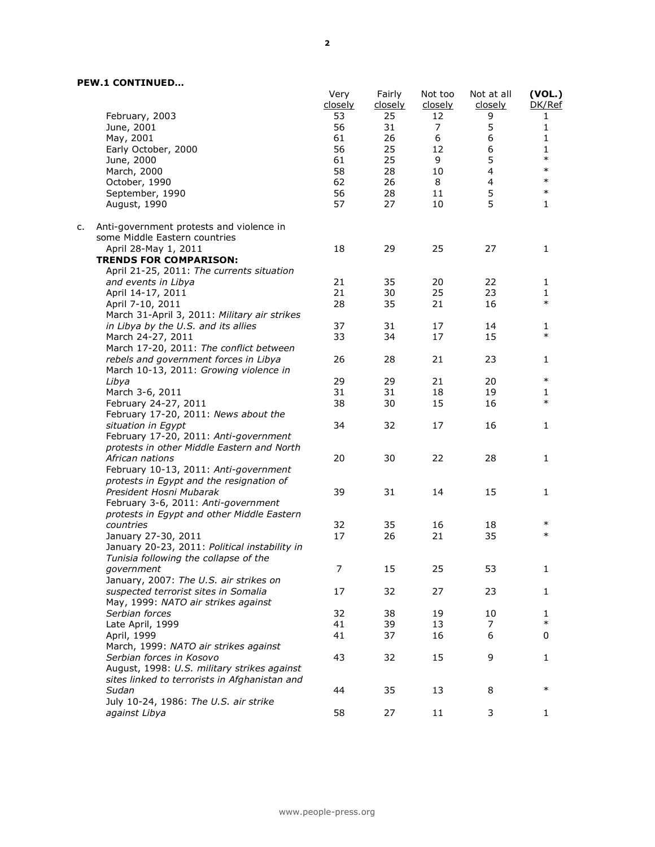# **PEW.1 CONTINUED…**

|    |                                                                                        | Very<br>closely | Fairly<br>closely | Not too<br>closely | Not at all<br>closely | (VOL.)<br>DK/Ref |
|----|----------------------------------------------------------------------------------------|-----------------|-------------------|--------------------|-----------------------|------------------|
|    | February, 2003                                                                         | 53              | 25                | 12                 | 9                     | 1                |
|    | June, 2001                                                                             | 56              | 31                | 7                  | 5                     | $\mathbf 1$      |
|    | May, 2001                                                                              | 61              | 26                | 6                  | 6                     | 1                |
|    | Early October, 2000                                                                    | 56              | 25                | 12                 | 6                     | 1                |
|    | June, 2000                                                                             | 61              | 25                | 9                  | 5                     | $\ast$           |
|    | March, 2000                                                                            | 58              | 28                | 10                 | 4                     | $\ast$           |
|    | October, 1990                                                                          | 62              | 26                | 8                  | 4                     | $\ast$           |
|    | September, 1990                                                                        | 56              | 28                | 11                 | 5                     | $\ast$           |
|    | August, 1990                                                                           | 57              | 27                | 10                 | 5                     | $\mathbf{1}$     |
| c. | Anti-government protests and violence in<br>some Middle Eastern countries              |                 |                   |                    |                       |                  |
|    | April 28-May 1, 2011                                                                   | 18              | 29                | 25                 | 27                    | 1                |
|    | <b>TRENDS FOR COMPARISON:</b>                                                          |                 |                   |                    |                       |                  |
|    | April 21-25, 2011: The currents situation                                              |                 |                   |                    |                       |                  |
|    | and events in Libya                                                                    | 21              | 35                | 20                 | 22                    | 1                |
|    | April 14-17, 2011                                                                      | 21              | 30                | 25                 | 23                    | 1                |
|    | April 7-10, 2011                                                                       | 28              | 35                | 21                 | 16                    | $\ast$           |
|    | March 31-April 3, 2011: Military air strikes                                           |                 |                   |                    |                       |                  |
|    | in Libya by the U.S. and its allies                                                    | 37              | 31                | 17                 | 14                    | 1                |
|    | March 24-27, 2011                                                                      | 33              | 34                | 17                 | 15                    | $\ast$           |
|    | March 17-20, 2011: The conflict between                                                |                 |                   |                    |                       |                  |
|    | rebels and government forces in Libya                                                  | 26              | 28                | 21                 | 23                    | 1                |
|    | March 10-13, 2011: Growing violence in                                                 |                 |                   |                    |                       |                  |
|    | Libya                                                                                  | 29              | 29                | 21                 | 20                    | $\ast$           |
|    | March 3-6, 2011                                                                        | 31              | 31                | 18                 | 19                    | 1                |
|    | February 24-27, 2011                                                                   | 38              | 30                | 15                 | 16                    | $\ast$           |
|    | February 17-20, 2011: News about the                                                   |                 |                   |                    |                       |                  |
|    | situation in Egypt                                                                     | 34              | 32                | 17                 | 16                    | 1                |
|    | February 17-20, 2011: Anti-government                                                  |                 |                   |                    |                       |                  |
|    | protests in other Middle Eastern and North                                             |                 |                   |                    |                       |                  |
|    | African nations                                                                        | 20              | 30                | 22                 | 28                    | 1                |
|    | February 10-13, 2011: Anti-government                                                  |                 |                   |                    |                       |                  |
|    | protests in Egypt and the resignation of                                               |                 |                   |                    |                       |                  |
|    | President Hosni Mubarak                                                                | 39              | 31                | 14                 | 15                    | 1                |
|    | February 3-6, 2011: Anti-government                                                    |                 |                   |                    |                       |                  |
|    | protests in Egypt and other Middle Eastern                                             |                 |                   |                    |                       |                  |
|    | countries                                                                              | 32              | 35                | 16                 | 18                    | $\ast$           |
|    | January 27-30, 2011                                                                    | 17              | 26                | 21                 | 35                    | $\ast$           |
|    |                                                                                        |                 |                   |                    |                       |                  |
|    | January 20-23, 2011: Political instability in<br>Tunisia following the collapse of the |                 |                   |                    |                       |                  |
|    |                                                                                        | $\overline{7}$  |                   |                    | 53                    |                  |
|    | government<br>January, 2007: The U.S. air strikes on                                   |                 | 15                | 25                 |                       |                  |
|    |                                                                                        |                 |                   |                    |                       |                  |
|    | suspected terrorist sites in Somalia                                                   | 17              | 32                | 27                 | 23                    | 1                |
|    | May, 1999: NATO air strikes against                                                    |                 |                   |                    |                       |                  |
|    | Serbian forces                                                                         | 32              | 38                | 19                 | 10                    | 1<br>$\ast$      |
|    | Late April, 1999                                                                       | 41              | 39                | 13                 | 7                     |                  |
|    | April, 1999                                                                            | 41              | 37                | 16                 | 6                     | 0                |
|    | March, 1999: NATO air strikes against                                                  |                 |                   |                    |                       |                  |
|    | Serbian forces in Kosovo                                                               | 43              | 32                | 15                 | 9                     | 1                |
|    | August, 1998: U.S. military strikes against                                            |                 |                   |                    |                       |                  |
|    | sites linked to terrorists in Afghanistan and                                          |                 |                   |                    |                       |                  |
|    | Sudan                                                                                  | 44              | 35                | 13                 | 8                     | $\ast$           |
|    | July 10-24, 1986: The U.S. air strike                                                  |                 |                   |                    |                       |                  |
|    | against Libya                                                                          | 58              | 27                | 11                 | 3                     | 1                |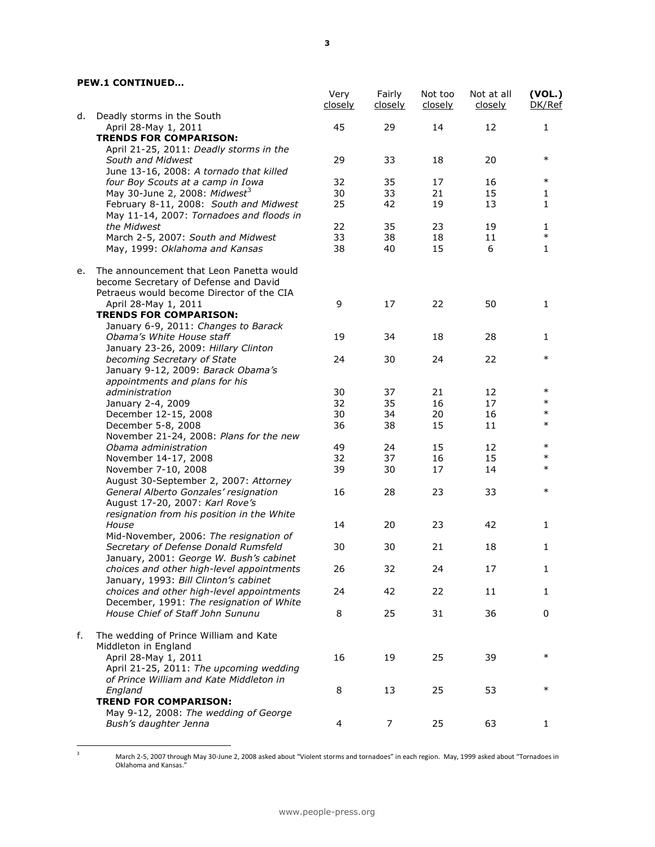## **PEW.1 CONTINUED…**

|    |                                                                                                                                | Very<br>closely | Fairly<br>closely | Not too<br>closely | Not at all<br>closely | (VOL.)<br>DK/Ref |
|----|--------------------------------------------------------------------------------------------------------------------------------|-----------------|-------------------|--------------------|-----------------------|------------------|
| d. | Deadly storms in the South<br>April 28-May 1, 2011                                                                             | 45              | 29                | 14                 | 12                    | $\mathbf{1}$     |
|    | <b>TRENDS FOR COMPARISON:</b>                                                                                                  |                 |                   |                    |                       |                  |
|    | April 21-25, 2011: Deadly storms in the                                                                                        |                 |                   |                    |                       |                  |
|    | South and Midwest                                                                                                              | 29              | 33                | 18                 | 20                    | $\ast$           |
|    | June 13-16, 2008: A tornado that killed                                                                                        |                 |                   |                    |                       |                  |
|    | four Boy Scouts at a camp in Iowa                                                                                              | 32              | 35                | 17                 | 16                    | $\ast$           |
|    | May 30-June 2, 2008: Midwest <sup>3</sup>                                                                                      | 30              | 33                | 21                 | 15                    | 1                |
|    | February 8-11, 2008: South and Midwest<br>May 11-14, 2007: Tornadoes and floods in                                             | 25              | 42                | 19                 | 13                    | $\mathbf{1}$     |
|    | the Midwest                                                                                                                    | 22              | 35                | 23                 | 19                    | 1                |
|    | March 2-5, 2007: South and Midwest                                                                                             | 33              | 38                | 18                 | 11                    | $\ast$           |
|    | May, 1999: Oklahoma and Kansas                                                                                                 | 38              | 40                | 15                 | 6                     | $\mathbf{1}$     |
| е. | The announcement that Leon Panetta would<br>become Secretary of Defense and David<br>Petraeus would become Director of the CIA |                 |                   |                    |                       |                  |
|    | April 28-May 1, 2011                                                                                                           | 9               | 17                | 22                 | 50                    | 1                |
|    | <b>TRENDS FOR COMPARISON:</b>                                                                                                  |                 |                   |                    |                       |                  |
|    | January 6-9, 2011: Changes to Barack                                                                                           |                 |                   |                    |                       |                  |
|    | Obama's White House staff                                                                                                      | 19              | 34                | 18                 | 28                    | 1                |
|    | January 23-26, 2009: Hillary Clinton                                                                                           |                 |                   |                    |                       |                  |
|    | becoming Secretary of State                                                                                                    | 24              | 30                | 24                 | 22                    | $\ast$           |
|    | January 9-12, 2009: Barack Obama's                                                                                             |                 |                   |                    |                       |                  |
|    | appointments and plans for his                                                                                                 |                 |                   |                    |                       |                  |
|    | administration                                                                                                                 | 30              | 37                | 21                 | 12                    | $\ast$           |
|    | January 2-4, 2009                                                                                                              | 32              | 35                | 16                 | 17                    | $\ast$           |
|    | December 12-15, 2008                                                                                                           | 30              | 34                | 20                 | 16                    | $\ast$           |
|    | December 5-8, 2008                                                                                                             | 36              | 38                | 15                 | 11                    | $\ast$           |
|    | November 21-24, 2008: Plans for the new                                                                                        |                 |                   |                    |                       |                  |
|    | Obama administration                                                                                                           | 49              | 24                | 15                 | 12                    | $\ast$           |
|    | November 14-17, 2008                                                                                                           | 32              | 37                | 16                 | 15                    | $\ast$           |
|    | November 7-10, 2008                                                                                                            | 39              | 30                | 17                 | 14                    | $\ast$           |
|    | August 30-September 2, 2007: Attorney                                                                                          |                 |                   |                    |                       |                  |
|    | General Alberto Gonzales' resignation                                                                                          | 16              | 28                | 23                 | 33                    | $\ast$           |
|    | August 17-20, 2007: Karl Rove's                                                                                                |                 |                   |                    |                       |                  |
|    | resignation from his position in the White                                                                                     |                 |                   |                    |                       |                  |
|    | House                                                                                                                          | 14              | 20                | 23                 | 42                    | 1                |
|    | Mid-November, 2006: The resignation of                                                                                         |                 |                   |                    |                       |                  |
|    | Secretary of Defense Donald Rumsfeld                                                                                           | 30              | 30                | 21                 | 18                    | 1                |
|    | January, 2001: George W. Bush's cabinet                                                                                        |                 |                   |                    |                       |                  |
|    | choices and other high-level appointments                                                                                      | 26              | 32                | 24                 | 17                    | 1                |
|    | January, 1993: Bill Clinton's cabinet                                                                                          |                 |                   |                    |                       |                  |
|    | choices and other high-level appointments                                                                                      | 24              | 42                | 22                 | 11                    | 1                |
|    | December, 1991: The resignation of White                                                                                       |                 |                   |                    |                       |                  |
|    | House Chief of Staff John Sununu                                                                                               | 8               | 25                | 31                 | 36                    | 0                |
| f. |                                                                                                                                |                 |                   |                    |                       |                  |
|    | The wedding of Prince William and Kate<br>Middleton in England                                                                 |                 |                   |                    |                       |                  |
|    | April 28-May 1, 2011                                                                                                           |                 |                   |                    |                       | $\ast$           |
|    |                                                                                                                                | 16              | 19                | 25                 | 39                    |                  |
|    | April 21-25, 2011: The upcoming wedding                                                                                        |                 |                   |                    |                       |                  |
|    | of Prince William and Kate Middleton in                                                                                        |                 |                   |                    |                       | ∗                |
|    | England                                                                                                                        | 8               | 13                | 25                 | 53                    |                  |
|    | <b>TREND FOR COMPARISON:</b>                                                                                                   |                 |                   |                    |                       |                  |
|    | May 9-12, 2008: The wedding of George                                                                                          |                 |                   |                    |                       |                  |
|    | Bush's daughter Jenna                                                                                                          | 4               | 7                 | 25                 | 63                    | 1                |

 $_{\rm 3}$ 

 $3$  March 2-5, 2007 through May 30-June 2, 2008 asked about "Violent storms and tornadoes" in each region. May, 1999 asked about "Tornadoes in Oklahoma and Kansas."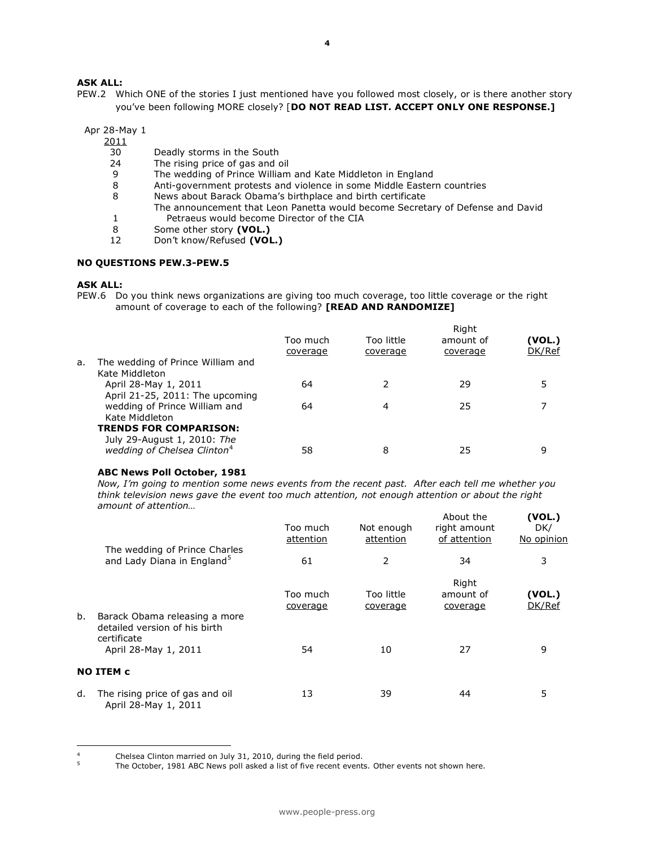## **ASK ALL:**

PEW.2 Which ONE of the stories I just mentioned have you followed most closely, or is there another story you've been following MORE closely? [**DO NOT READ LIST. ACCEPT ONLY ONE RESPONSE.]** 

Apr 28-May 1

 $\frac{2011}{30}$ 

- Deadly storms in the South
- 24 The rising price of gas and oil
- 9 The wedding of Prince William and Kate Middleton in England
- 8 Anti-government protests and violence in some Middle Eastern countries
- 8 News about Barack Obama's birthplace and birth certificate
	- The announcement that Leon Panetta would become Secretary of Defense and David
- 1 Petraeus would become Director of the CIA<br>8 Some other story (VOL.)
- 8 Some other story **(VOL.)**<br>12 Don't know/Refused **(VOL** 12 Don't know/Refused **(VOL.)**

#### **NO QUESTIONS PEW.3-PEW.5**

#### **ASK ALL:**

 $\overline{a}$ 

PEW.6 Do you think news organizations are giving too much coverage, too little coverage or the right amount of coverage to each of the following? **[READ AND RANDOMIZE]**

|    |                                                              | Too much<br>coverage | Too little<br>coverage | amount of<br>coverage | (VOL.)<br>DK/Ref |
|----|--------------------------------------------------------------|----------------------|------------------------|-----------------------|------------------|
| а. | The wedding of Prince William and<br>Kate Middleton          |                      |                        |                       |                  |
|    | April 28-May 1, 2011<br>April 21-25, 2011: The upcoming      | 64                   |                        | 29                    |                  |
|    | wedding of Prince William and<br>Kate Middleton              | 64                   | 4                      | 25                    |                  |
|    | <b>TRENDS FOR COMPARISON:</b><br>July 29-August 1, 2010: The |                      |                        |                       |                  |
|    | wedding of Chelsea Clinton <sup>4</sup>                      | 58                   | 8                      | 25                    | 9                |

#### **ABC News Poll October, 1981**

*Now, I'm going to mention some news events from the recent past. After each tell me whether you think television news gave the event too much attention, not enough attention or about the right amount of attention…*  **(VOL.)**

|    |                                                                         | Too much<br>attention | Not enough<br>attention | About the<br>right amount<br>of attention | (VOL.)<br>DK/<br>No opinion |
|----|-------------------------------------------------------------------------|-----------------------|-------------------------|-------------------------------------------|-----------------------------|
|    | The wedding of Prince Charles<br>and Lady Diana in England <sup>5</sup> | 61                    | 2                       | 34                                        | 3                           |
| b. | Barack Obama releasing a more                                           | Too much<br>coverage  | Too little<br>coverage  | Right<br>amount of<br>coverage            | (VOL.)<br>DK/Ref            |
|    | detailed version of his birth<br>certificate<br>April 28-May 1, 2011    | 54                    | 10                      | 27                                        | 9                           |
|    | <b>NO ITEM c</b>                                                        |                       |                         |                                           |                             |
| d. | The rising price of gas and oil<br>April 28-May 1, 2011                 | 13                    | 39                      | 44                                        | 5                           |

<sup>&</sup>lt;sup>4</sup> Chelsea Clinton married on July 31, 2010, during the field period.

The October, 1981 ABC News poll asked a list of five recent events. Other events not shown here.